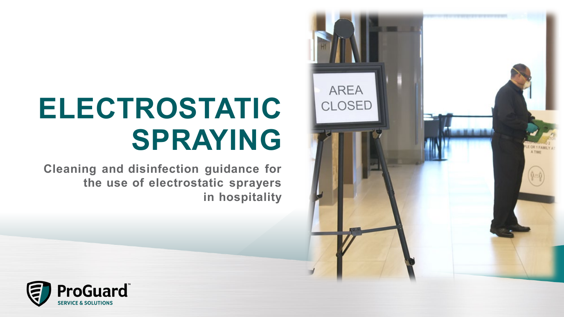

# **ELECTROSTATIC SPRAYING**

**Cleaning and disinfection guidance for the use of electrostatic sprayers in hospitality**

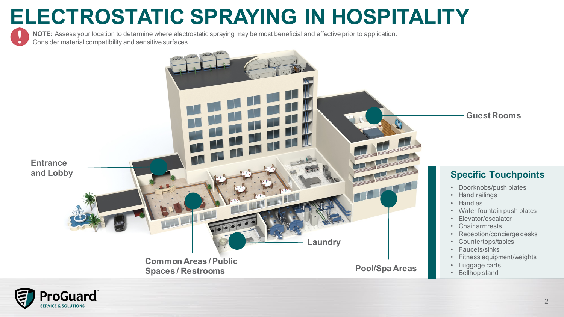<sup>2</sup> **ELECTROSTATIC SPRAYING IN HOSPITALITY**

**NOTE:** Assess your location to determine where electrostatic spraying may be most beneficial and effective prior to application. Consider material compatibility and sensitive surfaces.



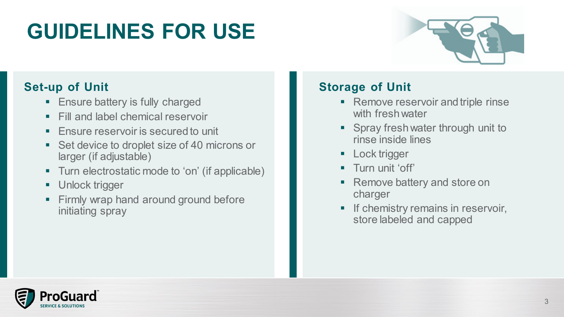## **GUIDELINES FOR USE**



### **Set-up of Unit**

- **Ensure battery is fully charged**
- Fill and label chemical reservoir
- Ensure reservoir is secured to unit
- Set device to droplet size of 40 microns or larger (if adjustable)
- Turn electrostatic mode to 'on' (if applicable)
- **Unlock trigger**
- Firmly wrap hand around ground before initiating spray

### **Storage of Unit**

- **Remove reservoir and triple rinse** with fresh water
- **Spray fresh water through unit to** rinse inside lines
- **Lock trigger**
- **Turn unit 'off'**
- Remove battery and store on charger
- **If chemistry remains in reservoir,** store labeled and capped

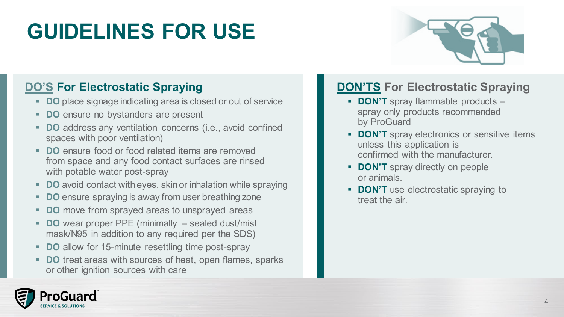## **GUIDELINES FOR USE**



### **DO'S For Electrostatic Spraying**

- **DO** place signage indicating area is closed or out of service
- **DO** ensure no bystanders are present
- **DO** address any ventilation concerns (i.e., avoid confined spaces with poor ventilation)
- **DO** ensure food or food related items are removed from space and any food contact surfaces are rinsed with potable water post-spray
- **DO** avoid contact with eyes, skin or inhalation while spraying
- **DO** ensure spraying is away from user breathing zone
- **DO** move from sprayed areas to unsprayed areas
- **DO** wear proper PPE (minimally sealed dust/mist mask/N95 in addition to any required per the SDS)
- **DO** allow for 15-minute resettling time post-spray
- **DO** treat areas with sources of heat, open flames, sparks or other ignition sources with care

### **DON'TS For Electrostatic Spraying**

- **DON'T** spray flammable products spray only products recommended by ProGuard
- **DON'T** spray electronics or sensitive items unless this application is confirmed with the manufacturer.
- **DON'T** spray directly on people or animals.
- **DON'T** use electrostatic spraying to treat the air.

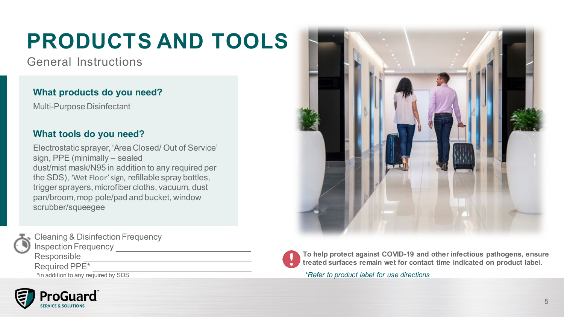## **PRODUCTS AND TOOLS**

General Instructions

#### **What products do you need?**

Multi-Purpose Disinfectant

#### **What tools do you need?**

Electrostatic sprayer, 'Area Closed/ Out of Service' sign, PPE (minimally – sealed dust/mist mask/N95 in addition to any required per the SDS), 'Wet Floor' sign, refillable spray bottles, trigger sprayers, microfiber cloths, vacuum, dust pan/broom, mop pole/pad and bucket, window scrubber/squeegee



Cleaning & Disinfection Frequency \_\_\_\_\_\_\_\_\_\_ **Inspection Frequency** 

Responsible

Required PPE\*

\*in addition to any required by SDS







**To help protect against COVID-19 and other infectious pathogens, ensure treated surfaces remain wet for contact time indicated on product label.**

*\*Refer to product label for use directions*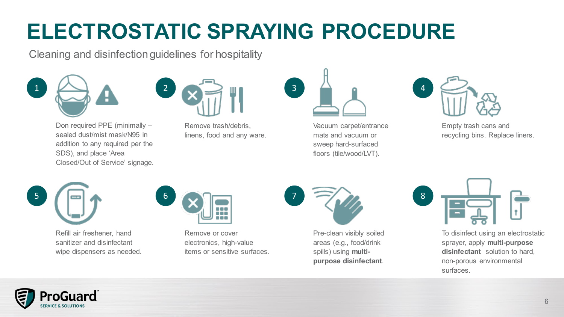## **ELECTROSTATIC SPRAYING PROCEDURE**

Cleaning and disinfection guidelines for hospitality







Don required PPE (minimally – sealed dust/mist mask/N95 in addition to any required per the SDS), and place 'Area Closed/Out of Service' signage. Remove trash/debris, linens, food and any ware.



Vacuum carpet/entrance mats and vacuum or sweep hard-surfaced floors (tile/wood/LVT).



Empty trash cans and recycling bins. Replace liners.



Refill air freshener, hand sanitizer and disinfectant wipe dispensers as needed.



Remove or cover electronics, high-value items or sensitive surfaces.



Pre-clean visibly soiled areas (e.g., food/drink spills) using **multipurpose disinfectant**.



To disinfect using an electrostatic sprayer, apply **multi-purpose disinfectant** solution to hard, non-porous environmental surfaces.

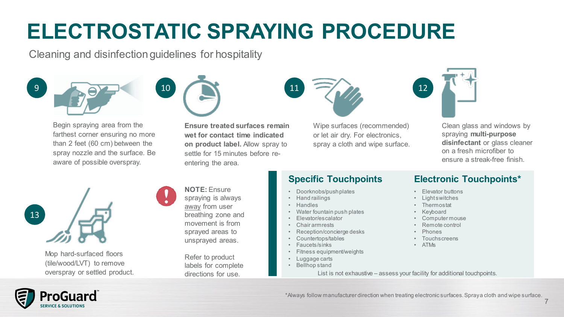## **ELECTROSTATIC SPRAYING PROCEDURE**

Cleaning and disinfection guidelines for hospitality







Begin spraying area from the farthest corner ensuring no more than 2 feet (60 cm) between the spray nozzle and the surface. Be aware of possible overspray.





Wipe surfaces (recommended) or let air dry. For electronics, spray a cloth and wipe surface.



Clean glass and windows by spraying **multi-purpose disinfectant** or glass cleaner on a fresh microfiber to ensure a streak-free finish.



ProGuard

Mop hard-surfaced floors (tile/wood/LVT) to remove

#### **NOTE:** Ensure spraying is always away from user breathing zone and movement is from sprayed areas to unsprayed areas.

Refer to product labels for complete directions for use.

#### **Specific Touchpoints**

- Doorknobs/push plates
- Hand railings
- Handles
- Water fountain push plates
- Elevator/escalator
- Chair armrests
- Reception/concierge desks
- Countertops/tables
	- Faucets/sinks
	- Fitness equipment/weights
	- Luggage carts
	- Bellhop stand

#### **Electronic Touchpoints\***

- Elevator buttons
- Light switches
- Thermostat
- Keyboard
- Computer mouse
- Remote control
- Phones
- **Touchscreens**
- ATMs



\*Always follow manufacturer direction when treating electronic surfaces.Spray a cloth and wipe surface.